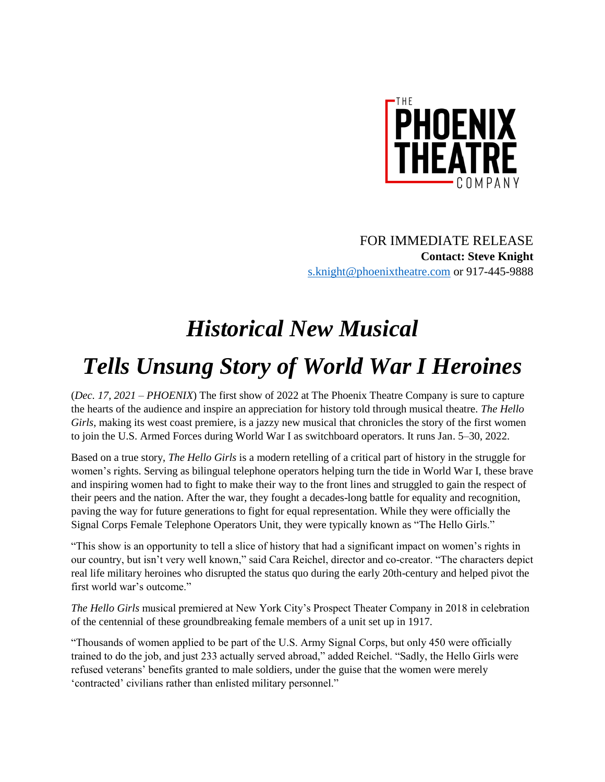

FOR IMMEDIATE RELEASE **Contact: Steve Knight** [s.knight@phoenixtheatre.com](mailto:s.knight@phoenixtheatre.com) or 917-445-9888

## *Historical New Musical Tells Unsung Story of World War I Heroines*

(*Dec. 17, 2021 – PHOENIX*) The first show of 2022 at The Phoenix Theatre Company is sure to capture the hearts of the audience and inspire an appreciation for history told through musical theatre. *The Hello Girls*, making its west coast premiere, is a jazzy new musical that chronicles the story of the first women to join the U.S. Armed Forces during World War I as switchboard operators. It runs Jan. 5–30, 2022.

Based on a true story, *The Hello Girls* is a modern retelling of a critical part of history in the struggle for women's rights. Serving as bilingual telephone operators helping turn the tide in World War I, these brave and inspiring women had to fight to make their way to the front lines and struggled to gain the respect of their peers and the nation. After the war, they fought a decades-long battle for equality and recognition, paving the way for future generations to fight for equal representation. While they were officially the Signal Corps Female Telephone Operators Unit, they were typically known as "The Hello Girls."

"This show is an opportunity to tell a slice of history that had a significant impact on women's rights in our country, but isn't very well known," said Cara Reichel, director and co-creator. "The characters depict real life military heroines who disrupted the status quo during the early 20th-century and helped pivot the first world war's outcome."

*The Hello Girls* musical premiered at New York City's Prospect Theater Company in 2018 in celebration of the centennial of these groundbreaking female members of a unit set up in 1917.

"Thousands of women applied to be part of the U.S. Army Signal Corps, but only 450 were officially trained to do the job, and just 233 actually served abroad," added Reichel. "Sadly, the Hello Girls were refused veterans' benefits granted to male soldiers, under the guise that the women were merely 'contracted' civilians rather than enlisted military personnel."